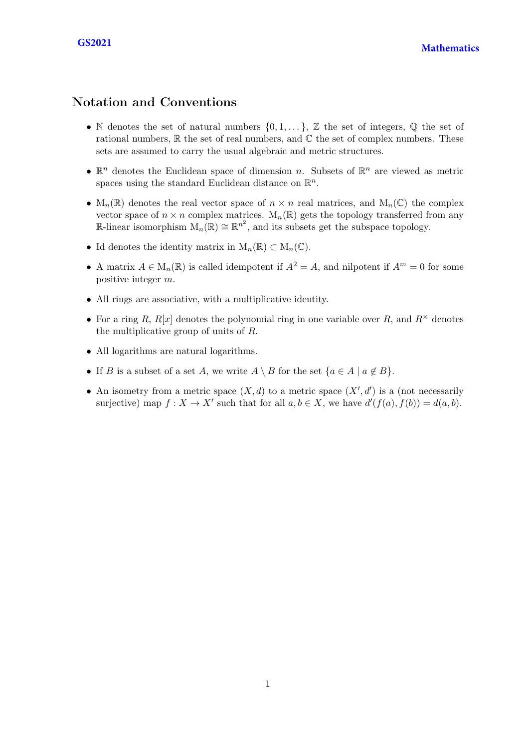## Notation and Conventions

- N denotes the set of natural numbers  $\{0, 1, \ldots\}$ , Z the set of integers, Q the set of rational numbers,  $\mathbb R$  the set of real numbers, and  $\mathbb C$  the set of complex numbers. These sets are assumed to carry the usual algebraic and metric structures.
- $\mathbb{R}^n$  denotes the Euclidean space of dimension n. Subsets of  $\mathbb{R}^n$  are viewed as metric spaces using the standard Euclidean distance on  $\mathbb{R}^n$ .
- $M_n(\mathbb{R})$  denotes the real vector space of  $n \times n$  real matrices, and  $M_n(\mathbb{C})$  the complex vector space of  $n \times n$  complex matrices.  $M_n(\mathbb{R})$  gets the topology transferred from any R-linear isomorphism  $M_n(\mathbb{R}) \cong \mathbb{R}^{n^2}$ , and its subsets get the subspace topology.
- Id denotes the identity matrix in  $M_n(\mathbb{R}) \subset M_n(\mathbb{C})$ .
- A matrix  $A \in M_n(\mathbb{R})$  is called idempotent if  $A^2 = A$ , and nilpotent if  $A^m = 0$  for some positive integer m.
- All rings are associative, with a multiplicative identity.
- For a ring R,  $R[x]$  denotes the polynomial ring in one variable over R, and  $R^{\times}$  denotes the multiplicative group of units of R.
- All logarithms are natural logarithms.
- If B is a subset of a set A, we write  $A \setminus B$  for the set  $\{a \in A \mid a \notin B\}$ .
- An isometry from a metric space  $(X, d)$  to a metric space  $(X', d')$  is a (not necessarily surjective) map  $f: X \to X'$  such that for all  $a, b \in X$ , we have  $d'(f(a), f(b)) = d(a, b)$ .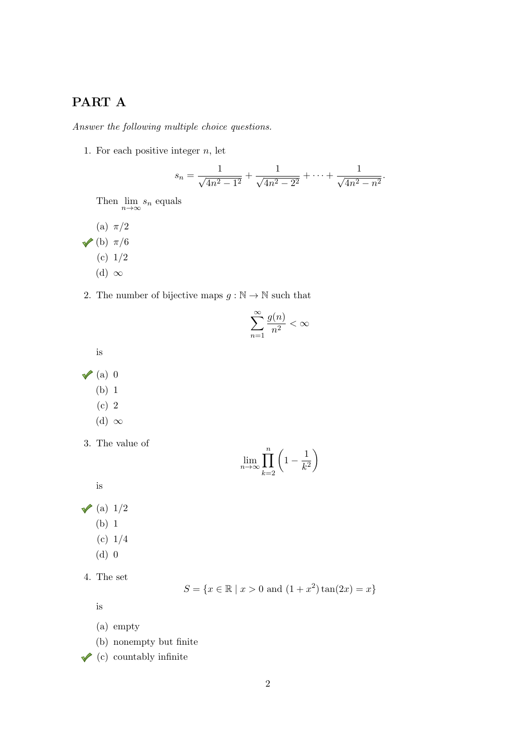## PART A

Answer the following multiple choice questions.

1. For each positive integer  $n$ , let

$$
s_n = \frac{1}{\sqrt{4n^2 - 1^2}} + \frac{1}{\sqrt{4n^2 - 2^2}} + \dots + \frac{1}{\sqrt{4n^2 - n^2}}.
$$

Then  $\lim_{n\to\infty} s_n$  equals

- (a)  $\pi/2$
- $\sqrt{\phantom{0}}$ (b)  $\pi/6$ 
	- (c) 1/2
	- (d)  $\infty$
- 2. The number of bijective maps  $g : \mathbb{N} \to \mathbb{N}$  such that

$$
\sum_{n=1}^\infty \frac{g(n)}{n^2}<\infty
$$

is

- $\sqrt{a}$  0
	- (b) 1
	- (c) 2
	- (d)  $\infty$
- 3. The value of

$$
\lim_{n \to \infty} \prod_{k=2}^{n} \left( 1 - \frac{1}{k^2} \right)
$$

is

 $\checkmark$  (a)  $1/2$ 

- (b) 1
- (c) 1/4
- (d) 0
- 4. The set

$$
S = \{x \in \mathbb{R} \mid x > 0 \text{ and } (1 + x^2) \tan(2x) = x\}
$$

is

- (a) empty
- (b) nonempty but finite
- $\sqrt{\phantom{a}}$  (c) countably infinite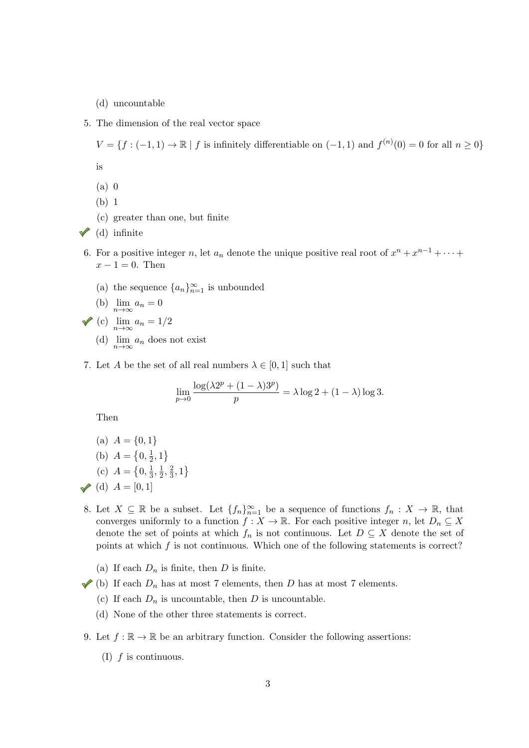(d) uncountable

5. The dimension of the real vector space

 $V = \{f: (-1,1) \to \mathbb{R} \mid f \text{ is infinitely differentiable on } (-1,1) \text{ and } f^{(n)}(0) = 0 \text{ for all } n \geq 0\}$ is

- (a) 0
- (b) 1
- (c) greater than one, but finite
- $\checkmark$  (d) infinite
- 6. For a positive integer n, let  $a_n$  denote the unique positive real root of  $x^n + x^{n-1} + \cdots$  $x - 1 = 0$ . Then
	- (a) the sequence  ${a_n}_{n=1}^{\infty}$  is unbounded

(b) 
$$
\lim_{n \to \infty} a_n = 0
$$

$$
\bigvee \text{(c)} \ \lim_{n \to \infty} a_n = 1/2
$$

- (d)  $\lim_{n\to\infty} a_n$  does not exist
- 7. Let A be the set of all real numbers  $\lambda \in [0,1]$  such that

$$
\lim_{p\to 0}\frac{\log(\lambda 2^p+(1-\lambda)3^p)}{p}=\lambda\log 2+(1-\lambda)\log 3.
$$

Then

(a) 
$$
A = \{0, 1\}
$$
  
\n(b)  $A = \{0, \frac{1}{2}, 1\}$   
\n(c)  $A = \{0, \frac{1}{3}, \frac{1}{2}, \frac{2}{3}, 1\}$   
\n(d)  $A = [0, 1]$ 

- 8. Let  $X \subseteq \mathbb{R}$  be a subset. Let  $\{f_n\}_{n=1}^{\infty}$  be a sequence of functions  $f_n : X \to \mathbb{R}$ , that converges uniformly to a function  $f : X \to \mathbb{R}$ . For each positive integer n, let  $D_n \subseteq X$ denote the set of points at which  $f_n$  is not continuous. Let  $D \subseteq X$  denote the set of points at which  $f$  is not continuous. Which one of the following statements is correct?
	- (a) If each  $D_n$  is finite, then D is finite.
- (b) If each  $D_n$  has at most 7 elements, then D has at most 7 elements.
	- (c) If each  $D_n$  is uncountable, then D is uncountable.
	- (d) None of the other three statements is correct.
- 9. Let  $f : \mathbb{R} \to \mathbb{R}$  be an arbitrary function. Consider the following assertions:
	- (I)  $f$  is continuous.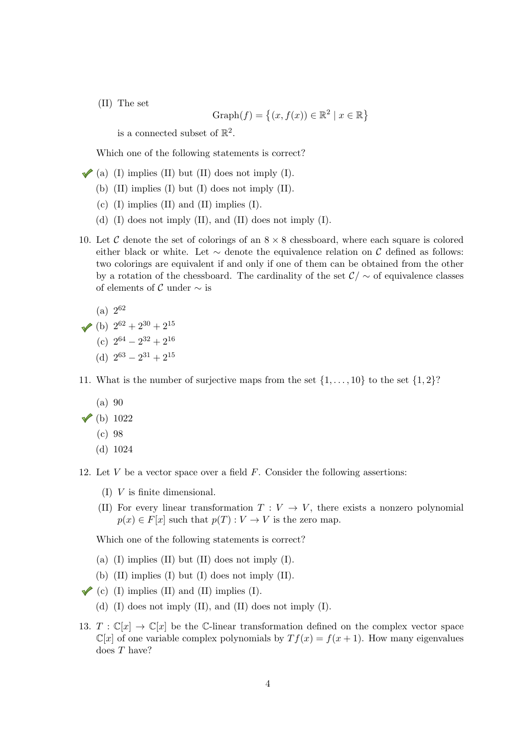(II) The set

$$
Graph(f) = \{(x, f(x)) \in \mathbb{R}^2 \mid x \in \mathbb{R}\}\
$$

is a connected subset of  $\mathbb{R}^2$ .

Which one of the following statements is correct?

- $\blacktriangleright$  (a) (I) implies (II) but (II) does not imply (I).
	- (b) (II) implies (I) but (I) does not imply (II).
	- (c)  $(I)$  implies  $(II)$  and  $(II)$  implies  $(I)$ .
	- (d) (I) does not imply (II), and (II) does not imply (I).
- 10. Let C denote the set of colorings of an  $8 \times 8$  chessboard, where each square is colored either black or white. Let  $\sim$  denote the equivalence relation on C defined as follows: two colorings are equivalent if and only if one of them can be obtained from the other by a rotation of the chessboard. The cardinality of the set  $\mathcal{C}/\sim$  of equivalence classes of elements of  $\mathcal C$  under  $\sim$  is

(a) 
$$
2^{62}
$$

- (b)  $2^{62} + 2^{30} + 2^{15}$
- (c)  $2^{64} 2^{32} + 2^{16}$
- (d)  $2^{63} 2^{31} + 2^{15}$
- 11. What is the number of surjective maps from the set  $\{1, \ldots, 10\}$  to the set  $\{1, 2\}$ ?
	- (a) 90

## $\sqrt{(b)} 1022$

- (c) 98
- (d) 1024
- 12. Let  $V$  be a vector space over a field  $F$ . Consider the following assertions:
	- (I) V is finite dimensional.
	- (II) For every linear transformation  $T: V \to V$ , there exists a nonzero polynomial  $p(x) \in F[x]$  such that  $p(T) : V \to V$  is the zero map.

Which one of the following statements is correct?

- (a)  $(I)$  implies  $(II)$  but  $(II)$  does not imply  $(I)$ .
- (b)  $(II)$  implies  $(I)$  but  $(I)$  does not imply  $(II)$ .
- $\checkmark$  (c) (I) implies (II) and (II) implies (I).
	- (d) (I) does not imply (II), and (II) does not imply (I).
- 13.  $T : \mathbb{C}[x] \to \mathbb{C}[x]$  be the C-linear transformation defined on the complex vector space  $\mathbb{C}[x]$  of one variable complex polynomials by  $Tf(x) = f(x+1)$ . How many eigenvalues does T have?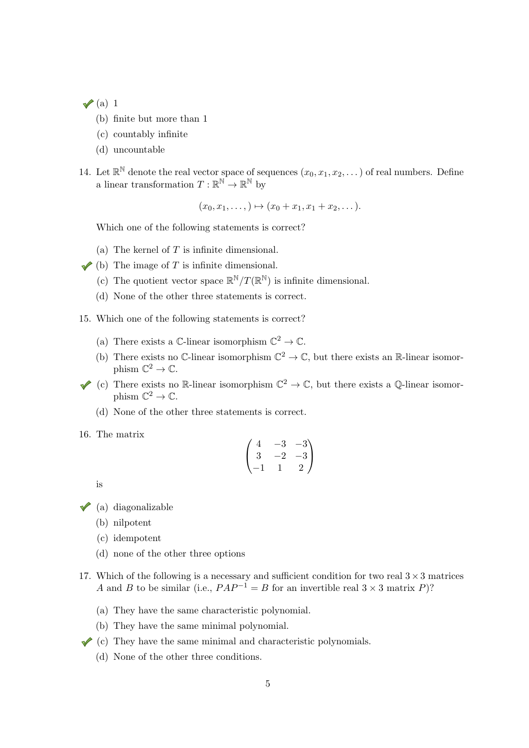$\sqrt{a}$  1

- (b) finite but more than 1
- (c) countably infinite
- (d) uncountable
- 14. Let  $\mathbb{R}^{\mathbb{N}}$  denote the real vector space of sequences  $(x_0, x_1, x_2, \dots)$  of real numbers. Define a linear transformation  $T: \mathbb{R}^{\mathbb{N}} \to \mathbb{R}^{\mathbb{N}}$  by

 $(x_0, x_1, \ldots) \mapsto (x_0 + x_1, x_1 + x_2, \ldots).$ 

Which one of the following statements is correct?

- (a) The kernel of  $T$  is infinite dimensional.
- $\blacktriangleright$  (b) The image of T is infinite dimensional.
	- (c) The quotient vector space  $\mathbb{R}^{\mathbb{N}}/T(\mathbb{R}^{\mathbb{N}})$  is infinite dimensional.
	- (d) None of the other three statements is correct.
- 15. Which one of the following statements is correct?
	- (a) There exists a  $\mathbb{C}\text{-linear isomorphism } \mathbb{C}^2 \to \mathbb{C}.$
	- (b) There exists no C-linear isomorphism  $\mathbb{C}^2 \to \mathbb{C}$ , but there exists an R-linear isomorphism  $\mathbb{C}^2 \to \mathbb{C}$ .
- (c) There exists no R-linear isomorphism  $\mathbb{C}^2 \to \mathbb{C}$ , but there exists a Q-linear isomorphism  $\mathbb{C}^2 \to \mathbb{C}$ .
	- (d) None of the other three statements is correct.
- 16. The matrix

$$
\begin{pmatrix} 4 & -3 & -3 \ 3 & -2 & -3 \ -1 & 1 & 2 \end{pmatrix}
$$

is

 $\checkmark$  (a) diagonalizable

- (b) nilpotent
- (c) idempotent
- (d) none of the other three options
- 17. Which of the following is a necessary and sufficient condition for two real  $3 \times 3$  matrices A and B to be similar (i.e.,  $PAP^{-1} = B$  for an invertible real  $3 \times 3$  matrix P)?
	- (a) They have the same characteristic polynomial.
	- (b) They have the same minimal polynomial.
- $\checkmark$  (c) They have the same minimal and characteristic polynomials.
	- (d) None of the other three conditions.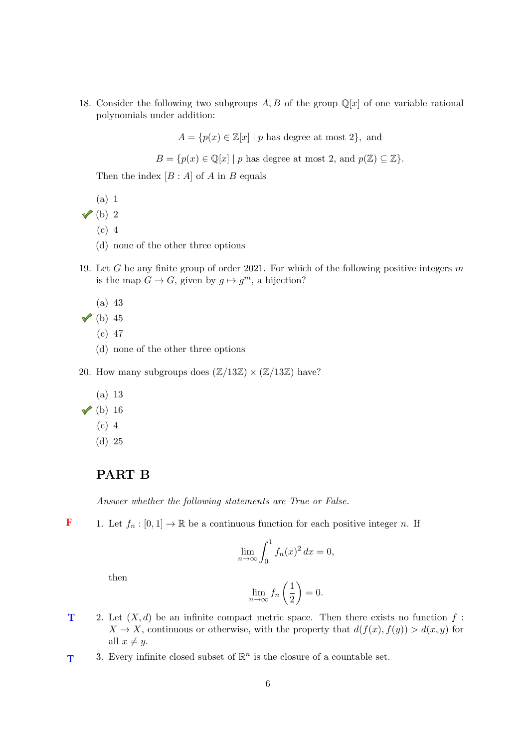18. Consider the following two subgroups A, B of the group  $\mathbb{Q}[x]$  of one variable rational polynomials under addition:

 $A = \{p(x) \in \mathbb{Z}[x] \mid p \text{ has degree at most } 2\},\$ and

 $B = \{p(x) \in \mathbb{Q}[x] \mid p \text{ has degree at most } 2, \text{ and } p(\mathbb{Z}) \subseteq \mathbb{Z}\}.$ 

Then the index  $[B : A]$  of A in B equals

(a) 1

 $\sqrt{\left( b\right) 2}$ 

- (c) 4
- (d) none of the other three options
- 19. Let G be any finite group of order 2021. For which of the following positive integers  $m$ is the map  $G \to G$ , given by  $g \mapsto g^m$ , a bijection?
	- (a) 43
- $\sqrt{b}$  45
	- (c) 47
	- (d) none of the other three options
- 20. How many subgroups does  $(\mathbb{Z}/13\mathbb{Z}) \times (\mathbb{Z}/13\mathbb{Z})$  have?
	- (a) 13
- $\checkmark$  (b) 16
	- (c) 4
	- (d) 25

## PART B

Answer whether the following statements are True or False.

1. Let  $f_n : [0,1] \to \mathbb{R}$  be a continuous function for each positive integer n. If **F**

$$
\lim_{n \to \infty} \int_0^1 f_n(x)^2 dx = 0,
$$

then

$$
\lim_{n \to \infty} f_n\left(\frac{1}{2}\right) = 0.
$$

- 2. Let  $(X, d)$  be an infinite compact metric space. Then there exists no function f:  $X \to X$ , continuous or otherwise, with the property that  $d(f(x), f(y)) > d(x, y)$  for all  $x \neq y$ . **T**
- 3. Every infinite closed subset of  $\mathbb{R}^n$  is the closure of a countable set. **T**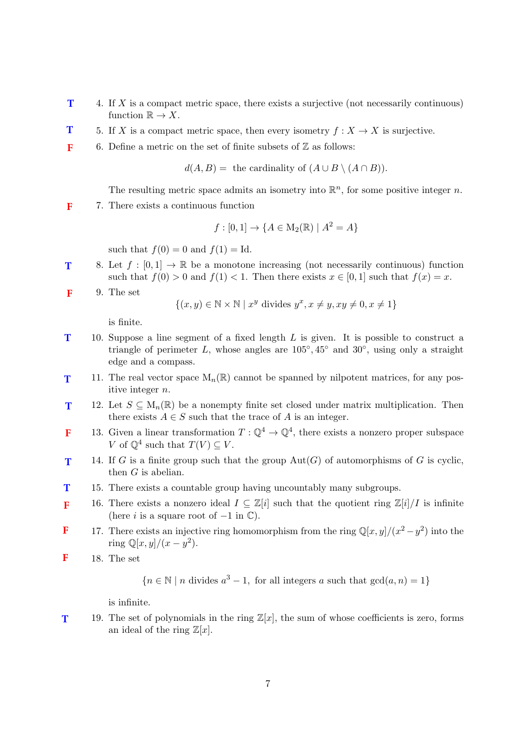- 4. If X is a compact metric space, there exists a surjective (not necessarily continuous) function  $\mathbb{R} \to X$ . **T**
- 5. If X is a compact metric space, then every isometry  $f: X \to X$  is surjective. **T**
- 6. Define a metric on the set of finite subsets of  $\mathbb Z$  as follows: **F**

 $d(A, B) =$  the cardinality of  $(A \cup B \setminus (A \cap B)).$ 

The resulting metric space admits an isometry into  $\mathbb{R}^n$ , for some positive integer n.

7. There exists a continuous function **F**

$$
f : [0,1] \to \{ A \in M_2(\mathbb{R}) \mid A^2 = A \}
$$

such that  $f(0) = 0$  and  $f(1) = Id$ .

- 8. Let  $f : [0,1] \to \mathbb{R}$  be a monotone increasing (not necessarily continuous) function such that  $f(0) > 0$  and  $f(1) < 1$ . Then there exists  $x \in [0, 1]$  such that  $f(x) = x$ . **T**
- 9. The set **F**

$$
\{(x, y) \in \mathbb{N} \times \mathbb{N} \mid x^y \text{ divides } y^x, x \neq y, xy \neq 0, x \neq 1\}
$$

is finite.

- 10. Suppose a line segment of a fixed length L is given. It is possible to construct a triangle of perimeter L, whose angles are  $105^{\circ}, 45^{\circ}$  and  $30^{\circ}$ , using only a straight edge and a compass. **T**
- 11. The real vector space  $M_n(\mathbb{R})$  cannot be spanned by nilpotent matrices, for any positive integer n. **T**
- 12. Let  $S \subseteq M_n(\mathbb{R})$  be a nonempty finite set closed under matrix multiplication. Then there exists  $A \in S$  such that the trace of A is an integer. **T**
- 13. Given a linear transformation  $T: \mathbb{Q}^4 \to \mathbb{Q}^4$ , there exists a nonzero proper subspace V of  $\mathbb{Q}^4$  such that  $T(V) \subseteq V$ . **F**
- 14. If G is a finite group such that the group  $Aut(G)$  of automorphisms of G is cyclic, then  $G$  is abelian. **T**
- 15. There exists a countable group having uncountably many subgroups. **T**
- 16. There exists a nonzero ideal  $I \subseteq \mathbb{Z}[i]$  such that the quotient ring  $\mathbb{Z}[i]/I$  is infinite (here *i* is a square root of  $-1$  in  $\mathbb{C}$ ). **F**
- 17. There exists an injective ring homomorphism from the ring  $\mathbb{Q}[x, y]/(x^2 y^2)$  into the ring  $\mathbb{Q}[x, y]/(x - y^2)$ . **F**
- 18. The set **F**

 ${n \in \mathbb{N} \mid n \text{ divides } a^3 - 1, \text{ for all integers } a \text{ such that } \gcd(a, n) = 1}$ 

is infinite.

19. The set of polynomials in the ring  $\mathbb{Z}[x]$ , the sum of whose coefficients is zero, forms an ideal of the ring  $\mathbb{Z}[x]$ . **T**